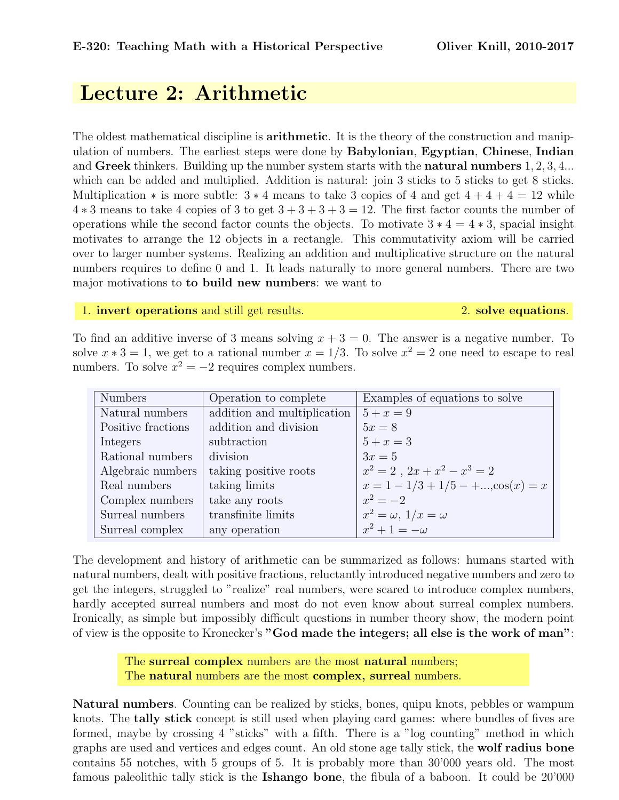## Lecture 2: Arithmetic

The oldest mathematical discipline is **arithmetic**. It is the theory of the construction and manipulation of numbers. The earliest steps were done by Babylonian, Egyptian, Chinese, Indian and Greek thinkers. Building up the number system starts with the **natural numbers** 1, 2, 3, 4... which can be added and multiplied. Addition is natural: join 3 sticks to 5 sticks to get 8 sticks. Multiplication  $*$  is more subtle:  $3 * 4$  means to take 3 copies of 4 and get  $4 + 4 + 4 = 12$  while  $4 * 3$  means to take 4 copies of 3 to get  $3 + 3 + 3 + 3 = 12$ . The first factor counts the number of operations while the second factor counts the objects. To motivate  $3 * 4 = 4 * 3$ , spacial insight motivates to arrange the 12 objects in a rectangle. This commutativity axiom will be carried over to larger number systems. Realizing an addition and multiplicative structure on the natural numbers requires to define 0 and 1. It leads naturally to more general numbers. There are two major motivations to to build new numbers: we want to

1. invert operations and still get results. 2. solve equations.

To find an additive inverse of 3 means solving  $x + 3 = 0$ . The answer is a negative number. To solve  $x * 3 = 1$ , we get to a rational number  $x = 1/3$ . To solve  $x^2 = 2$  one need to escape to real numbers. To solve  $x^2 = -2$  requires complex numbers.

| <b>Numbers</b>     | Operation to complete       | Examples of equations to solve                |
|--------------------|-----------------------------|-----------------------------------------------|
| Natural numbers    | addition and multiplication | $5 + x = 9$                                   |
| Positive fractions | addition and division       | $5x = 8$                                      |
| Integers           | subtraction                 | $5 + x = 3$                                   |
| Rational numbers   | division                    | $3x=5$                                        |
| Algebraic numbers  | taking positive roots       | $x^2 = 2$ , $2x + x^2 - x^3 = 2$              |
| Real numbers       | taking limits               | $x = 1 - 1/3 + 1/5 - + \dots$ , $\cos(x) = x$ |
| Complex numbers    | take any roots              | $x^2 = -2$                                    |
| Surreal numbers    | transfinite limits          | $x^2 = \omega$ , $1/x = \omega$               |
| Surreal complex    | any operation               | $x^2+1=-\omega$                               |

The development and history of arithmetic can be summarized as follows: humans started with natural numbers, dealt with positive fractions, reluctantly introduced negative numbers and zero to get the integers, struggled to "realize" real numbers, were scared to introduce complex numbers, hardly accepted surreal numbers and most do not even know about surreal complex numbers. Ironically, as simple but impossibly difficult questions in number theory show, the modern point of view is the opposite to Kronecker's "God made the integers; all else is the work of man":

> The **surreal complex** numbers are the most **natural** numbers; The **natural** numbers are the most **complex**, surreal numbers.

Natural numbers. Counting can be realized by sticks, bones, quipu knots, pebbles or wampum knots. The tally stick concept is still used when playing card games: where bundles of fives are formed, maybe by crossing 4 "sticks" with a fifth. There is a "log counting" method in which graphs are used and vertices and edges count. An old stone age tally stick, the wolf radius bone contains 55 notches, with 5 groups of 5. It is probably more than 30'000 years old. The most famous paleolithic tally stick is the Ishango bone, the fibula of a baboon. It could be 20'000